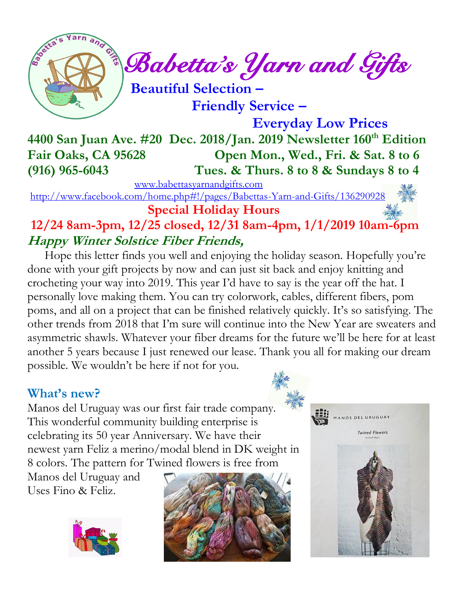

 *Babetta's Yarn and Gifts* 

 **Beautiful Selection – Friendly Service –**

 **Everyday Low Prices 4400 San Juan Ave. #20 Dec. 2018/Jan. 2019 Newsletter 160th Edition Fair Oaks, CA 95628 Open Mon., Wed., Fri. & Sat. 8 to 6 (916) 965-6043 Tues. & Thurs. 8 to 8 & Sundays 8 to 4**

 [www.babettasyarnandgifts.com](http://www.babettasyarnandgifts.com/) <http://www.facebook.com/home.php#!/pages/Babettas-Yarn-and-Gifts/136290928>

 **Special Holiday Hours**

## **12/24 8am-3pm, 12/25 closed, 12/31 8am-4pm, 1/1/2019 10am-6pm Happy Winter Solstice Fiber Friends,**

Hope this letter finds you well and enjoying the holiday season. Hopefully you're done with your gift projects by now and can just sit back and enjoy knitting and crocheting your way into 2019. This year I'd have to say is the year off the hat. I personally love making them. You can try colorwork, cables, different fibers, pom poms, and all on a project that can be finished relatively quickly. It's so satisfying. The other trends from 2018 that I'm sure will continue into the New Year are sweaters and asymmetric shawls. Whatever your fiber dreams for the future we'll be here for at least another 5 years because I just renewed our lease. Thank you all for making our dream possible. We wouldn't be here if not for you.

### **What's new?**

Manos del Uruguay was our first fair trade company. This wonderful community building enterprise is celebrating its 50 year Anniversary. We have their newest yarn Feliz a merino/modal blend in DK weight in 8 colors. The pattern for Twined flowers is free from

Manos del Uruguay and Uses Fino & Feliz.





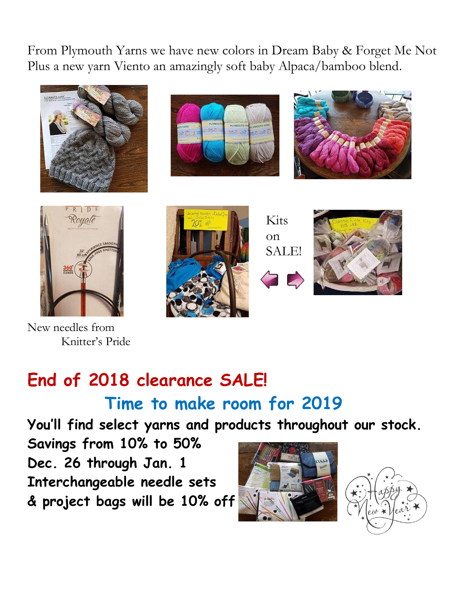From Plymouth Yarns we have new colors in Dream Baby & Forget Me Not Plus a new yarn Viento an amazingly soft baby Alpaca/bamboo blend.









New needles from Knitter's Pride







# **End of 2018 clearance SALE! Time to make room for 2019**

**You'll find select yarns and products throughout our stock.**

**Savings from 10% to 50% Dec. 26 through Jan. 1 Interchangeable needle sets & project bags will be 10% off**